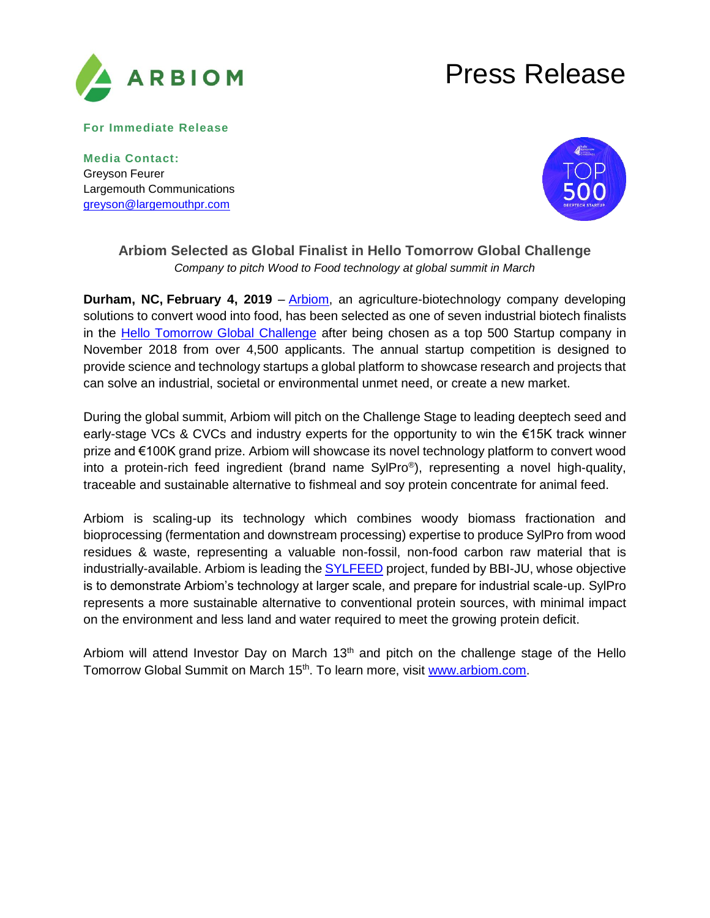

## Press Release

**For Immediate Release** 

**Media Contact:**  Greyson Feurer Largemouth Communications [greyson@largemouthpr.com](mailto:greyson@largemouthpr.com)



## **Arbiom Selected as Global Finalist in Hello Tomorrow Global Challenge** *Company to pitch Wood to Food technology at global summit in March*

**Durham, NC, February 4, 2019** – [Arbiom,](https://arbiom.com/) an agriculture-biotechnology company developing solutions to convert wood into food, has been selected as one of seven industrial biotech finalists in the [Hello Tomorrow Global Challenge](https://hello-tomorrow.org/startups#tracks) after being chosen as a top 500 Startup company in November 2018 from over 4,500 applicants. The annual startup competition is designed to provide science and technology startups a global platform to showcase research and projects that can solve an industrial, societal or environmental unmet need, or create a new market.

During the global summit, Arbiom will pitch on the Challenge Stage to leading deeptech seed and early-stage VCs & CVCs and industry experts for the opportunity to win the €15K track winner prize and €100K grand prize. Arbiom will showcase its novel technology platform to convert wood into a protein-rich feed ingredient (brand name SylPro® ), representing a novel high-quality, traceable and sustainable alternative to fishmeal and soy protein concentrate for animal feed.

Arbiom is scaling-up its technology which combines woody biomass fractionation and bioprocessing (fermentation and downstream processing) expertise to produce SylPro from wood residues & waste, representing a valuable non-fossil, non-food carbon raw material that is industrially-available. Arbiom is leading the [SYLFEED](https://sylfeed.eu/) project, funded by BBI-JU, whose objective is to demonstrate Arbiom's technology at larger scale, and prepare for industrial scale-up. SylPro represents a more sustainable alternative to conventional protein sources, with minimal impact on the environment and less land and water required to meet the growing protein deficit.

Arbiom will attend Investor Day on March  $13<sup>th</sup>$  and pitch on the challenge stage of the Hello Tomorrow Global Summit on March 15<sup>th</sup>. To learn more, visit [www.arbiom.com.](http://www.arbiom.com/)